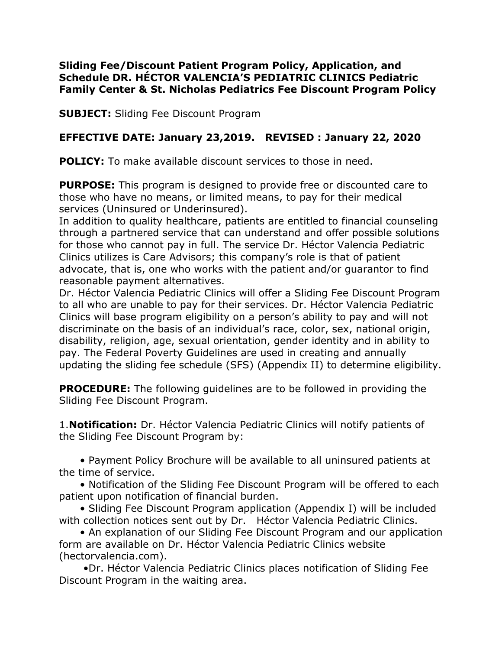#### **Sliding Fee/Discount Patient Program Policy, Application, and Schedule DR. HÉCTOR VALENCIA'S PEDIATRIC CLINICS Pediatric Family Center & St. Nicholas Pediatrics Fee Discount Program Policy**

**SUBJECT:** Sliding Fee Discount Program

## **EFFECTIVE DATE: January 23,2019. REVISED : January 22, 2020**

**POLICY:** To make available discount services to those in need.

**PURPOSE:** This program is designed to provide free or discounted care to those who have no means, or limited means, to pay for their medical services (Uninsured or Underinsured).

In addition to quality healthcare, patients are entitled to financial counseling through a partnered service that can understand and offer possible solutions for those who cannot pay in full. The service Dr. Héctor Valencia Pediatric Clinics utilizes is Care Advisors; this company's role is that of patient advocate, that is, one who works with the patient and/or guarantor to find reasonable payment alternatives.

Dr. Héctor Valencia Pediatric Clinics will offer a Sliding Fee Discount Program to all who are unable to pay for their services. Dr. Héctor Valencia Pediatric Clinics will base program eligibility on a person's ability to pay and will not discriminate on the basis of an individual's race, color, sex, national origin, disability, religion, age, sexual orientation, gender identity and in ability to pay. The Federal Poverty Guidelines are used in creating and annually updating the sliding fee schedule (SFS) (Appendix II) to determine eligibility.

**PROCEDURE:** The following guidelines are to be followed in providing the Sliding Fee Discount Program.

1.**Notification:** Dr. Héctor Valencia Pediatric Clinics will notify patients of the Sliding Fee Discount Program by:

 • Payment Policy Brochure will be available to all uninsured patients at the time of service.

 • Notification of the Sliding Fee Discount Program will be offered to each patient upon notification of financial burden.

 • Sliding Fee Discount Program application (Appendix I) will be included with collection notices sent out by Dr. Héctor Valencia Pediatric Clinics.

 • An explanation of our Sliding Fee Discount Program and our application form are available on Dr. Héctor Valencia Pediatric Clinics website (hectorvalencia.com).

 •Dr. Héctor Valencia Pediatric Clinics places notification of Sliding Fee Discount Program in the waiting area.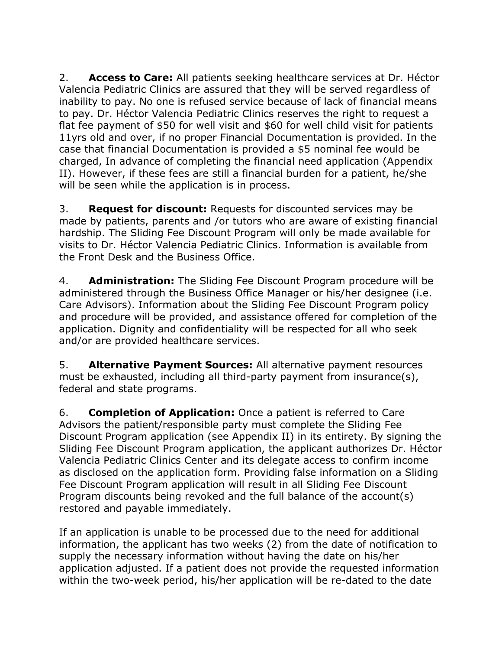2. **Access to Care:** All patients seeking healthcare services at Dr. Héctor Valencia Pediatric Clinics are assured that they will be served regardless of inability to pay. No one is refused service because of lack of financial means to pay. Dr. Héctor Valencia Pediatric Clinics reserves the right to request a flat fee payment of \$50 for well visit and \$60 for well child visit for patients 11yrs old and over, if no proper Financial Documentation is provided. In the case that financial Documentation is provided a \$5 nominal fee would be charged, In advance of completing the financial need application (Appendix II). However, if these fees are still a financial burden for a patient, he/she will be seen while the application is in process.

3. **Request for discount:** Requests for discounted services may be made by patients, parents and /or tutors who are aware of existing financial hardship. The Sliding Fee Discount Program will only be made available for visits to Dr. Héctor Valencia Pediatric Clinics. Information is available from the Front Desk and the Business Office.

4. **Administration:** The Sliding Fee Discount Program procedure will be administered through the Business Office Manager or his/her designee (i.e. Care Advisors). Information about the Sliding Fee Discount Program policy and procedure will be provided, and assistance offered for completion of the application. Dignity and confidentiality will be respected for all who seek and/or are provided healthcare services.

5. **Alternative Payment Sources:** All alternative payment resources must be exhausted, including all third-party payment from insurance(s), federal and state programs.

6. **Completion of Application:** Once a patient is referred to Care Advisors the patient/responsible party must complete the Sliding Fee Discount Program application (see Appendix II) in its entirety. By signing the Sliding Fee Discount Program application, the applicant authorizes Dr. Héctor Valencia Pediatric Clinics Center and its delegate access to confirm income as disclosed on the application form. Providing false information on a Sliding Fee Discount Program application will result in all Sliding Fee Discount Program discounts being revoked and the full balance of the account(s) restored and payable immediately.

If an application is unable to be processed due to the need for additional information, the applicant has two weeks (2) from the date of notification to supply the necessary information without having the date on his/her application adjusted. If a patient does not provide the requested information within the two-week period, his/her application will be re-dated to the date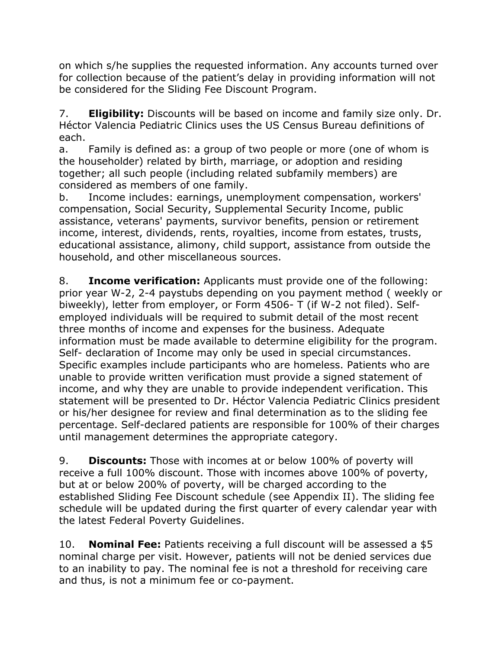on which s/he supplies the requested information. Any accounts turned over for collection because of the patient's delay in providing information will not be considered for the Sliding Fee Discount Program.

7. **Eligibility:** Discounts will be based on income and family size only. Dr. Héctor Valencia Pediatric Clinics uses the US Census Bureau definitions of each.

a. Family is defined as: a group of two people or more (one of whom is the householder) related by birth, marriage, or adoption and residing together; all such people (including related subfamily members) are considered as members of one family.

b. Income includes: earnings, unemployment compensation, workers' compensation, Social Security, Supplemental Security Income, public assistance, veterans' payments, survivor benefits, pension or retirement income, interest, dividends, rents, royalties, income from estates, trusts, educational assistance, alimony, child support, assistance from outside the household, and other miscellaneous sources.

8. **Income verification:** Applicants must provide one of the following: prior year W-2, 2-4 paystubs depending on you payment method ( weekly or biweekly), letter from employer, or Form 4506- T (if W-2 not filed). Selfemployed individuals will be required to submit detail of the most recent three months of income and expenses for the business. Adequate information must be made available to determine eligibility for the program. Self- declaration of Income may only be used in special circumstances. Specific examples include participants who are homeless. Patients who are unable to provide written verification must provide a signed statement of income, and why they are unable to provide independent verification. This statement will be presented to Dr. Héctor Valencia Pediatric Clinics president or his/her designee for review and final determination as to the sliding fee percentage. Self-declared patients are responsible for 100% of their charges until management determines the appropriate category.

9. **Discounts:** Those with incomes at or below 100% of poverty will receive a full 100% discount. Those with incomes above 100% of poverty, but at or below 200% of poverty, will be charged according to the established Sliding Fee Discount schedule (see Appendix II). The sliding fee schedule will be updated during the first quarter of every calendar year with the latest Federal Poverty Guidelines.

10. **Nominal Fee:** Patients receiving a full discount will be assessed a \$5 nominal charge per visit. However, patients will not be denied services due to an inability to pay. The nominal fee is not a threshold for receiving care and thus, is not a minimum fee or co-payment.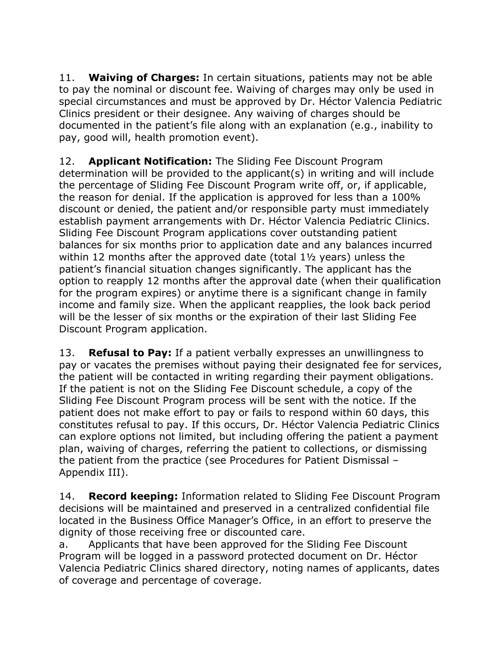11. **Waiving of Charges:** In certain situations, patients may not be able to pay the nominal or discount fee. Waiving of charges may only be used in special circumstances and must be approved by Dr. Héctor Valencia Pediatric Clinics president or their designee. Any waiving of charges should be documented in the patient's file along with an explanation (e.g., inability to pay, good will, health promotion event).

12. **Applicant Notification:** The Sliding Fee Discount Program determination will be provided to the applicant(s) in writing and will include the percentage of Sliding Fee Discount Program write off, or, if applicable, the reason for denial. If the application is approved for less than a 100% discount or denied, the patient and/or responsible party must immediately establish payment arrangements with Dr. Héctor Valencia Pediatric Clinics. Sliding Fee Discount Program applications cover outstanding patient balances for six months prior to application date and any balances incurred within 12 months after the approved date (total 1½ years) unless the patient's financial situation changes significantly. The applicant has the option to reapply 12 months after the approval date (when their qualification for the program expires) or anytime there is a significant change in family income and family size. When the applicant reapplies, the look back period will be the lesser of six months or the expiration of their last Sliding Fee Discount Program application.

13. **Refusal to Pay:** If a patient verbally expresses an unwillingness to pay or vacates the premises without paying their designated fee for services, the patient will be contacted in writing regarding their payment obligations. If the patient is not on the Sliding Fee Discount schedule, a copy of the Sliding Fee Discount Program process will be sent with the notice. If the patient does not make effort to pay or fails to respond within 60 days, this constitutes refusal to pay. If this occurs, Dr. Héctor Valencia Pediatric Clinics can explore options not limited, but including offering the patient a payment plan, waiving of charges, referring the patient to collections, or dismissing the patient from the practice (see Procedures for Patient Dismissal – Appendix III).

14. **Record keeping:** Information related to Sliding Fee Discount Program decisions will be maintained and preserved in a centralized confidential file located in the Business Office Manager's Office, in an effort to preserve the dignity of those receiving free or discounted care.

a. Applicants that have been approved for the Sliding Fee Discount Program will be logged in a password protected document on Dr. Héctor Valencia Pediatric Clinics shared directory, noting names of applicants, dates of coverage and percentage of coverage.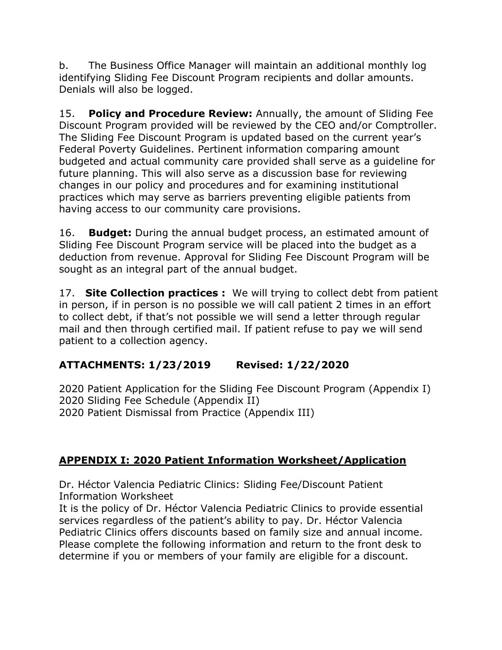b. The Business Office Manager will maintain an additional monthly log identifying Sliding Fee Discount Program recipients and dollar amounts. Denials will also be logged.

15. **Policy and Procedure Review:** Annually, the amount of Sliding Fee Discount Program provided will be reviewed by the CEO and/or Comptroller. The Sliding Fee Discount Program is updated based on the current year's Federal Poverty Guidelines. Pertinent information comparing amount budgeted and actual community care provided shall serve as a guideline for future planning. This will also serve as a discussion base for reviewing changes in our policy and procedures and for examining institutional practices which may serve as barriers preventing eligible patients from having access to our community care provisions.

16. **Budget:** During the annual budget process, an estimated amount of Sliding Fee Discount Program service will be placed into the budget as a deduction from revenue. Approval for Sliding Fee Discount Program will be sought as an integral part of the annual budget.

17. **Site Collection practices :** We will trying to collect debt from patient in person, if in person is no possible we will call patient 2 times in an effort to collect debt, if that's not possible we will send a letter through regular mail and then through certified mail. If patient refuse to pay we will send patient to a collection agency.

# **ATTACHMENTS: 1/23/2019 Revised: 1/22/2020**

2020 Patient Application for the Sliding Fee Discount Program (Appendix I) 2020 Sliding Fee Schedule (Appendix II) 2020 Patient Dismissal from Practice (Appendix III)

## **APPENDIX I: 2020 Patient Information Worksheet/Application**

Dr. Héctor Valencia Pediatric Clinics: Sliding Fee/Discount Patient Information Worksheet

It is the policy of Dr. Héctor Valencia Pediatric Clinics to provide essential services regardless of the patient's ability to pay. Dr. Héctor Valencia Pediatric Clinics offers discounts based on family size and annual income. Please complete the following information and return to the front desk to determine if you or members of your family are eligible for a discount.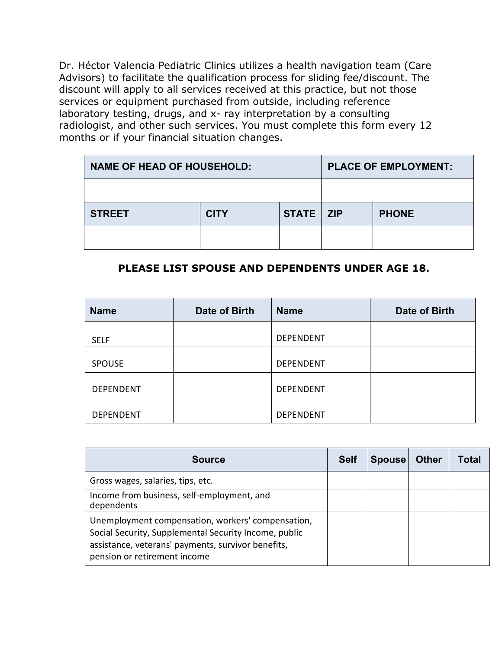Dr. Héctor Valencia Pediatric Clinics utilizes a health navigation team (Care Advisors) to facilitate the qualification process for sliding fee/discount. The discount will apply to all services received at this practice, but not those services or equipment purchased from outside, including reference laboratory testing, drugs, and x- ray interpretation by a consulting radiologist, and other such services. You must complete this form every 12 months or if your financial situation changes.

| <b>NAME OF HEAD OF HOUSEHOLD:</b> |             |             | <b>PLACE OF EMPLOYMENT:</b> |              |  |
|-----------------------------------|-------------|-------------|-----------------------------|--------------|--|
|                                   |             |             |                             |              |  |
| <b>STREET</b>                     | <b>CITY</b> | STATE   ZIP |                             | <b>PHONE</b> |  |
|                                   |             |             |                             |              |  |

### **PLEASE LIST SPOUSE AND DEPENDENTS UNDER AGE 18.**

| <b>Name</b>      | Date of Birth | <b>Name</b>      | Date of Birth |
|------------------|---------------|------------------|---------------|
| <b>SELF</b>      |               | <b>DEPENDENT</b> |               |
| <b>SPOUSE</b>    |               | <b>DEPENDENT</b> |               |
| <b>DEPENDENT</b> |               | <b>DEPENDENT</b> |               |
| <b>DEPENDENT</b> |               | <b>DEPENDENT</b> |               |

| <b>Source</b>                                                                                                                                                                                    | <b>Self</b> | Spouse | <b>Other</b> | Total |
|--------------------------------------------------------------------------------------------------------------------------------------------------------------------------------------------------|-------------|--------|--------------|-------|
| Gross wages, salaries, tips, etc.                                                                                                                                                                |             |        |              |       |
| Income from business, self-employment, and<br>dependents                                                                                                                                         |             |        |              |       |
| Unemployment compensation, workers' compensation,<br>Social Security, Supplemental Security Income, public<br>assistance, veterans' payments, survivor benefits,<br>pension or retirement income |             |        |              |       |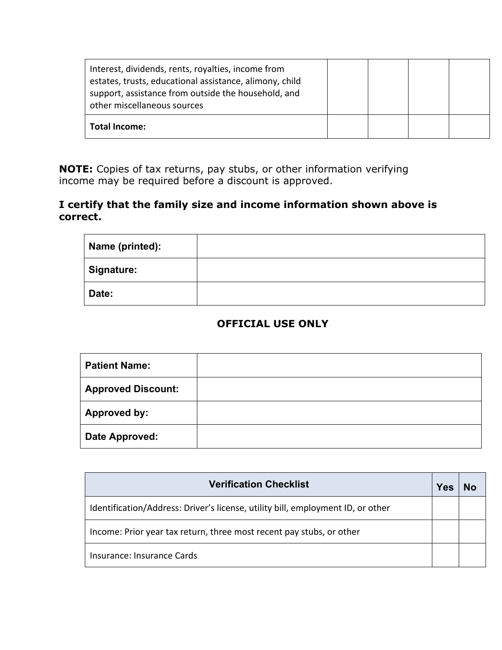| Interest, dividends, rents, royalties, income from<br>estates, trusts, educational assistance, alimony, child<br>support, assistance from outside the household, and<br>other miscellaneous sources |  |  |
|-----------------------------------------------------------------------------------------------------------------------------------------------------------------------------------------------------|--|--|
| Total Income:                                                                                                                                                                                       |  |  |

**NOTE:** Copies of tax returns, pay stubs, or other information verifying income may be required before a discount is approved.

#### **I certify that the family size and income information shown above is correct.**

| Name (printed): |  |
|-----------------|--|
| Signature:      |  |
| Date:           |  |

### **OFFICIAL USE ONLY**

| <b>Patient Name:</b>      |  |
|---------------------------|--|
| <b>Approved Discount:</b> |  |
| <b>Approved by:</b>       |  |
| <b>Date Approved:</b>     |  |

| <b>Verification Checklist</b>                                                   |  |  |  |  |
|---------------------------------------------------------------------------------|--|--|--|--|
| Identification/Address: Driver's license, utility bill, employment ID, or other |  |  |  |  |
| Income: Prior year tax return, three most recent pay stubs, or other            |  |  |  |  |
| Insurance: Insurance Cards                                                      |  |  |  |  |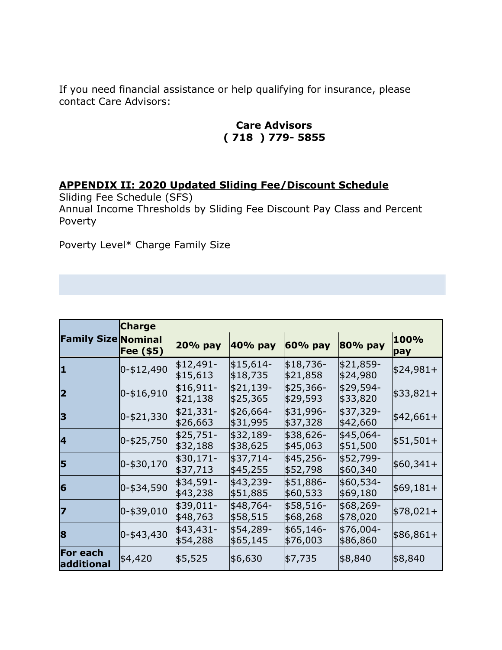If you need financial assistance or help qualifying for insurance, please contact Care Advisors:

### **Care Advisors ( 718 ) 779- 5855**

## **APPENDIX II: 2020 Updated Sliding Fee/Discount Schedule**

Sliding Fee Schedule (SFS) Annual Income Thresholds by Sliding Fee Discount Pay Class and Percent Poverty

Poverty Level\* Charge Family Size

|                               | <b>Charge</b> |                        |                        |                        |                        |             |  |
|-------------------------------|---------------|------------------------|------------------------|------------------------|------------------------|-------------|--|
| <b>Family Size Nominal</b>    | Fee (\$5)     | 20% pay                | 40% pay                | 60% pay                | 80% pay                | 100%<br>pay |  |
| $\mathbf{1}$                  | 0-\$12,490    | $$12,491-$<br>\$15,613 | \$15,614-<br>\$18,735  | \$18,736-<br> \$21,858 | \$21,859-<br>∣\$24,980 | $$24,981+$  |  |
| 2                             | $0 - $16,910$ | $$16,911-$<br>\$21,138 | $$21,139-$<br>\$25,365 | \$25,366-<br>\$29,593  | \$29,594-<br> \$33,820 | $$33,821+$  |  |
| 3                             | $0 - $21,330$ | \$21,331-<br>\$26,663  | \$26,664-<br>\$31,995  | \$31,996-<br> \$37,328 | \$37,329-<br> \$42,660 | $$42,661+$  |  |
| 4                             | $0 - $25,750$ | \$25,751-<br>\$32,188  | \$32,189-<br>\$38,625  | \$38,626-<br>\$45,063  | \$45,064-<br>\$51,500  | $$51,501+$  |  |
| 5                             | $0 - $30,170$ | \$30,171-<br>\$37,713  | \$37,714-<br>\$45,255  | \$45,256-<br>\$52,798  | \$52,799-<br> \$60,340 | $$60,341+$  |  |
| 6                             | $0 - $34,590$ | \$34,591-<br>\$43,238  | $$43,239-$<br>\$51,885 | \$51,886-<br>\$60,533  | \$60,534-<br> \$69,180 | $$69,181+$  |  |
| 17                            | $0 - $39,010$ | \$39,011-<br>\$48,763  | \$48,764-<br>\$58,515  | \$58,516-<br>\$68,268  | \$68,269-<br>∣\$78,020 | $$78,021+$  |  |
| 8                             | $0 - $43,430$ | \$43,431-<br>\$54,288  | \$54,289-<br>\$65,145  | \$65,146-<br>\$76,003  | \$76,004-<br>∣\$86,860 | \$86,861+   |  |
| <b>For each</b><br>additional | \$4,420       | \$5,525                | \$6,630                | \$7,735                | \$8,840                | ∣\$8,840    |  |